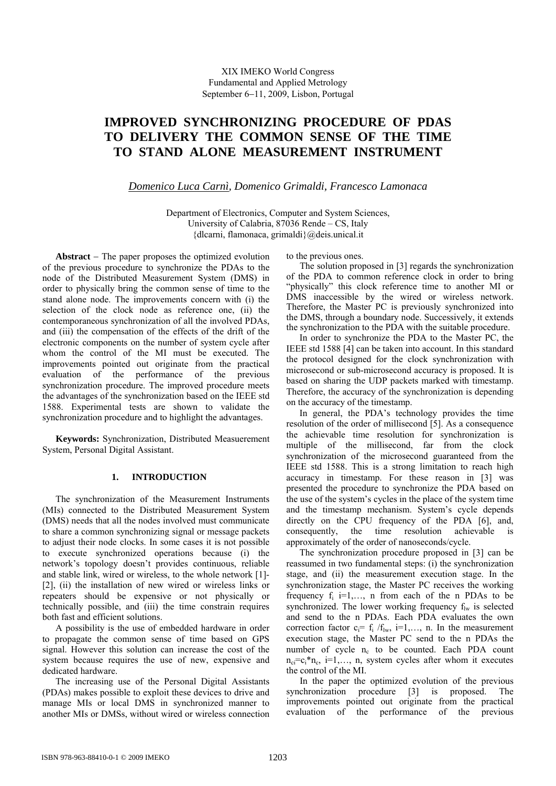## XIX IMEKO World Congress Fundamental and Applied Metrology September 6-11, 2009, Lisbon, Portugal

# **IMPROVED SYNCHRONIZING PROCEDURE OF PDAS TO DELIVERY THE COMMON SENSE OF THE TIME TO STAND ALONE MEASUREMENT INSTRUMENT**

*Domenico Luca Carnì, Domenico Grimaldi, Francesco Lamonaca* 

Department of Electronics, Computer and System Sciences, University of Calabria, 87036 Rende – CS, Italy {dlcarni, flamonaca, grimaldi}@deis.unical.it

**Abstract** – The paper proposes the optimized evolution of the previous procedure to synchronize the PDAs to the node of the Distributed Measurement System (DMS) in order to physically bring the common sense of time to the stand alone node. The improvements concern with (i) the selection of the clock node as reference one, (ii) the contemporaneous synchronization of all the involved PDAs, and (iii) the compensation of the effects of the drift of the electronic components on the number of system cycle after whom the control of the MI must be executed. The improvements pointed out originate from the practical evaluation of the performance of the previous synchronization procedure. The improved procedure meets the advantages of the synchronization based on the IEEE std 1588. Experimental tests are shown to validate the synchronization procedure and to highlight the advantages.

**Keywords:** Synchronization, Distributed Measuerement System, Personal Digital Assistant.

## **1. INTRODUCTION**

The synchronization of the Measurement Instruments (MIs) connected to the Distributed Measurement System (DMS) needs that all the nodes involved must communicate to share a common synchronizing signal or message packets to adjust their node clocks. In some cases it is not possible to execute synchronized operations because (i) the network's topology doesn't provides continuous, reliable and stable link, wired or wireless, to the whole network [1]- [2], (ii) the installation of new wired or wireless links or repeaters should be expensive or not physically or technically possible, and (iii) the time constrain requires both fast and efficient solutions.

A possibility is the use of embedded hardware in order to propagate the common sense of time based on GPS signal. However this solution can increase the cost of the system because requires the use of new, expensive and dedicated hardware.

The increasing use of the Personal Digital Assistants (PDAs) makes possible to exploit these devices to drive and manage MIs or local DMS in synchronized manner to another MIs or DMSs, without wired or wireless connection to the previous ones.

The solution proposed in [3] regards the synchronization of the PDA to common reference clock in order to bring "physically" this clock reference time to another MI or DMS inaccessible by the wired or wireless network. Therefore, the Master PC is previously synchronized into the DMS, through a boundary node. Successively, it extends the synchronization to the PDA with the suitable procedure.

In order to synchronize the PDA to the Master PC, the IEEE std 1588 [4] can be taken into account. In this standard the protocol designed for the clock synchronization with microsecond or sub-microsecond accuracy is proposed. It is based on sharing the UDP packets marked with timestamp. Therefore, the accuracy of the synchronization is depending on the accuracy of the timestamp.

In general, the PDA's technology provides the time resolution of the order of millisecond [5]. As a consequence the achievable time resolution for synchronization is multiple of the millisecond, far from the clock synchronization of the microsecond guaranteed from the IEEE std 1588. This is a strong limitation to reach high accuracy in timestamp. For these reason in [3] was presented the procedure to synchronize the PDA based on the use of the system's cycles in the place of the system time and the timestamp mechanism. System's cycle depends directly on the CPU frequency of the PDA [6], and, consequently, the time resolution achievable is approximately of the order of nanoseconds/cycle.

The synchronization procedure proposed in [3] can be reassumed in two fundamental steps: (i) the synchronization stage, and (ii) the measurement execution stage. In the synchronization stage, the Master PC receives the working frequency  $f_i$  i=1,..., n from each of the n PDAs to be synchronized. The lower working frequency  $f_{lw}$  is selected and send to the n PDAs. Each PDA evaluates the own correction factor  $c_i = f_i / f_{lw}$ , i=1,..., n. In the measurement execution stage, the Master PC send to the n PDAs the number of cycle  $n_c$  to be counted. Each PDA count  $n_c = c$ ;  $n_c$ ,  $i = 1, \ldots, n$ , system cycles after whom it executes the control of the MI.

In the paper the optimized evolution of the previous synchronization procedure [3] is proposed. The improvements pointed out originate from the practical evaluation of the performance of the previous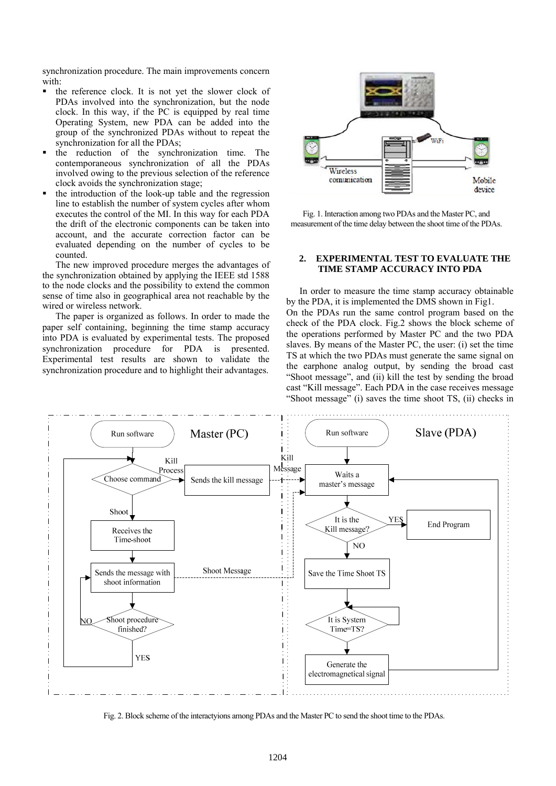synchronization procedure. The main improvements concern with:

- $\blacksquare$  the reference clock. It is not yet the slower clock of PDAs involved into the synchronization, but the node clock. In this way, if the PC is equipped by real time Operating System, new PDA can be added into the group of the synchronized PDAs without to repeat the synchronization for all the PDAs;
- the reduction of the synchronization time. The contemporaneous synchronization of all the PDAs involved owing to the previous selection of the reference clock avoids the synchronization stage;
- the introduction of the look-up table and the regression line to establish the number of system cycles after whom executes the control of the MI. In this way for each PDA the drift of the electronic components can be taken into account, and the accurate correction factor can be evaluated depending on the number of cycles to be counted.

The new improved procedure merges the advantages of the synchronization obtained by applying the IEEE std 1588 to the node clocks and the possibility to extend the common sense of time also in geographical area not reachable by the wired or wireless network.

The paper is organized as follows. In order to made the paper self containing, beginning the time stamp accuracy into PDA is evaluated by experimental tests. The proposed synchronization procedure for PDA is presented. Experimental test results are shown to validate the synchronization procedure and to highlight their advantages.



Fig. 1. Interaction among two PDAs and the Master PC, and measurement of the time delay between the shoot time of the PDAs.

### **2. EXPERIMENTAL TEST TO EVALUATE THE TIME STAMP ACCURACY INTO PDA**

In order to measure the time stamp accuracy obtainable by the PDA, it is implemented the DMS shown in Fig1. On the PDAs run the same control program based on the check of the PDA clock. Fig.2 shows the block scheme of the operations performed by Master PC and the two PDA slaves. By means of the Master PC, the user: (i) set the time TS at which the two PDAs must generate the same signal on the earphone analog output, by sending the broad cast "Shoot message", and (ii) kill the test by sending the broad cast "Kill message". Each PDA in the case receives message "Shoot message" (i) saves the time shoot TS, (ii) checks in



Fig. 2. Block scheme of the interactyions among PDAs and the Master PC to send the shoot time to the PDAs.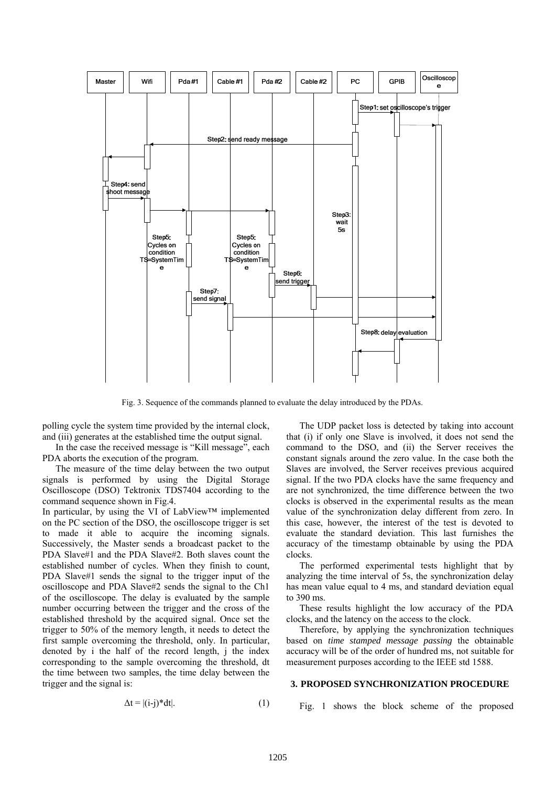

Fig. 3. Sequence of the commands planned to evaluate the delay introduced by the PDAs.

polling cycle the system time provided by the internal clock, and (iii) generates at the established time the output signal.

In the case the received message is "Kill message", each PDA aborts the execution of the program.

The measure of the time delay between the two output signals is performed by using the Digital Storage Oscilloscope (DSO) Tektronix TDS7404 according to the command sequence shown in Fig.4.

In particular, by using the VI of LabView™ implemented on the PC section of the DSO, the oscilloscope trigger is set to made it able to acquire the incoming signals. Successively, the Master sends a broadcast packet to the PDA Slave#1 and the PDA Slave#2. Both slaves count the established number of cycles. When they finish to count, PDA Slave#1 sends the signal to the trigger input of the oscilloscope and PDA Slave#2 sends the signal to the Ch1 of the oscilloscope. The delay is evaluated by the sample number occurring between the trigger and the cross of the established threshold by the acquired signal. Once set the trigger to 50% of the memory length, it needs to detect the first sample overcoming the threshold, only. In particular, denoted by i the half of the record length, j the index corresponding to the sample overcoming the threshold, dt the time between two samples, the time delay between the trigger and the signal is:

The UDP packet loss is detected by taking into account that (i) if only one Slave is involved, it does not send the command to the DSO, and (ii) the Server receives the constant signals around the zero value. In the case both the Slaves are involved, the Server receives previous acquired signal. If the two PDA clocks have the same frequency and are not synchronized, the time difference between the two clocks is observed in the experimental results as the mean value of the synchronization delay different from zero. In this case, however, the interest of the test is devoted to evaluate the standard deviation. This last furnishes the accuracy of the timestamp obtainable by using the PDA clocks.

The performed experimental tests highlight that by analyzing the time interval of 5s, the synchronization delay has mean value equal to 4 ms, and standard deviation equal to 390 ms.

These results highlight the low accuracy of the PDA clocks, and the latency on the access to the clock.

Therefore, by applying the synchronization techniques based on *time stamped message passing* the obtainable accuracy will be of the order of hundred ms, not suitable for measurement purposes according to the IEEE std 1588.

#### **3. PROPOSED SYNCHRONIZATION PROCEDURE**

$$
\Delta t = |(i-j)^* dt|.
$$
 (1)

Fig. 1 shows the block scheme of the proposed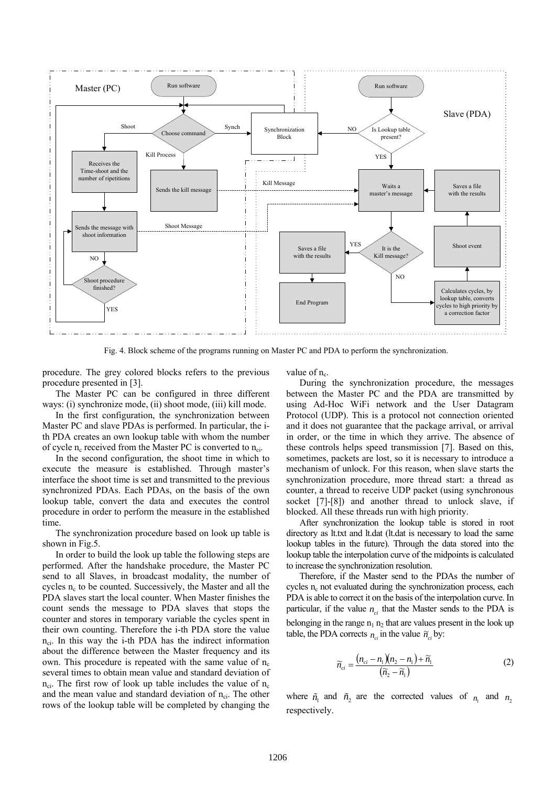

Fig. 4. Block scheme of the programs running on Master PC and PDA to perform the synchronization.

procedure. The grey colored blocks refers to the previous procedure presented in [3].

The Master PC can be configured in three different ways: (i) synchronize mode, (ii) shoot mode, (iii) kill mode.

In the first configuration, the synchronization between Master PC and slave PDAs is performed. In particular, the ith PDA creates an own lookup table with whom the number of cycle  $n_c$  received from the Master PC is converted to  $n_{ci}$ .

In the second configuration, the shoot time in which to execute the measure is established. Through master's interface the shoot time is set and transmitted to the previous synchronized PDAs. Each PDAs, on the basis of the own lookup table, convert the data and executes the control procedure in order to perform the measure in the established time.

The synchronization procedure based on look up table is shown in Fig.5.

In order to build the look up table the following steps are performed. After the handshake procedure, the Master PC send to all Slaves, in broadcast modality, the number of cycles  $n_c$  to be counted. Successively, the Master and all the PDA slaves start the local counter. When Master finishes the count sends the message to PDA slaves that stops the counter and stores in temporary variable the cycles spent in their own counting. Therefore the i-th PDA store the value  $n_{ci}$ . In this way the i-th PDA has the indirect information about the difference between the Master frequency and its own. This procedure is repeated with the same value of  $n_c$ several times to obtain mean value and standard deviation of  $n_{ci}$ . The first row of look up table includes the value of  $n_c$ and the mean value and standard deviation of  $n_{ci}$ . The other rows of the lookup table will be completed by changing the value of  $n_c$ .

During the synchronization procedure, the messages between the Master PC and the PDA are transmitted by using Ad-Hoc WiFi network and the User Datagram Protocol (UDP). This is a protocol not connection oriented and it does not guarantee that the package arrival, or arrival in order, or the time in which they arrive. The absence of these controls helps speed transmission [7]. Based on this, sometimes, packets are lost, so it is necessary to introduce a mechanism of unlock. For this reason, when slave starts the synchronization procedure, more thread start: a thread as counter, a thread to receive UDP packet (using synchronous socket [7]-[8]) and another thread to unlock slave, if blocked. All these threads run with high priority.

After synchronization the lookup table is stored in root directory as lt.txt and lt.dat (lt.dat is necessary to load the same lookup tables in the future). Through the data stored into the lookup table the interpolation curve of the midpoints is calculated to increase the synchronization resolution.

Therefore, if the Master send to the PDAs the number of cycles  $n_c$  not evaluated during the synchronization process, each PDA is able to correct it on the basis of the interpolation curve. In particular, if the value  $n_{ci}$  that the Master sends to the PDA is belonging in the range  $n_1 n_2$  that are values present in the look up table, the PDA corrects  $n_{ci}$  in the value  $\tilde{n}_{ci}$  by:

$$
\widetilde{n}_{ci} = \frac{(n_{ci} - n_1)(n_2 - n_1) + \widetilde{n}_1}{(\widetilde{n}_2 - \widetilde{n}_1)}
$$
(2)

where  $\tilde{n}_1$  and  $\tilde{n}_2$  are the corrected values of  $n_1$  and  $n_2$ respectively.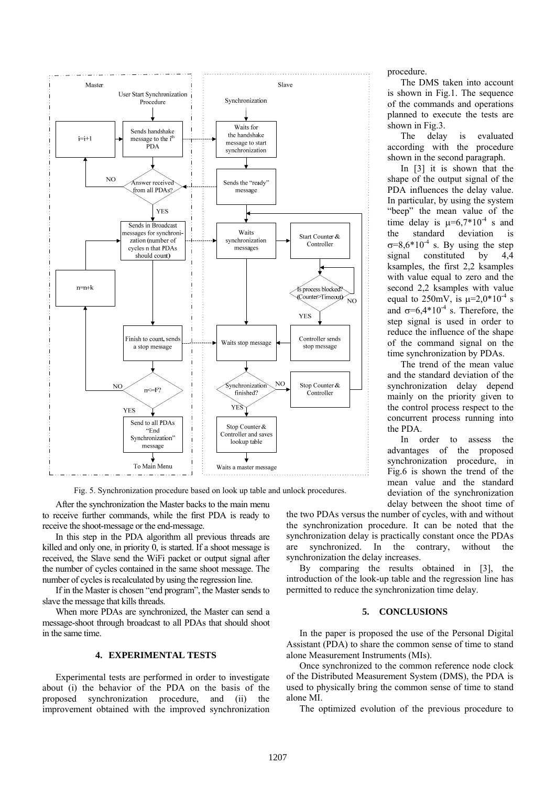

Fig. 5. Synchronization procedure based on look up table and unlock procedures.

After the synchronization the Master backs to the main menu to receive further commands, while the first PDA is ready to

receive the shoot-message or the end-message. In this step in the PDA algorithm all previous threads are killed and only one, in priority 0, is started. If a shoot message is received, the Slave send the WiFi packet or output signal after the number of cycles contained in the same shoot message. The number of cycles is recalculated by using the regression line.

If in the Master is chosen "end program", the Master sends to slave the message that kills threads.

When more PDAs are synchronized, the Master can send a message-shoot through broadcast to all PDAs that should shoot in the same time.

#### **4. EXPERIMENTAL TESTS**

Experimental tests are performed in order to investigate about (i) the behavior of the PDA on the basis of the proposed synchronization procedure, and (ii) the improvement obtained with the improved synchronization

procedure.

The DMS taken into account is shown in Fig.1. The sequence of the commands and operations planned to execute the tests are shown in Fig.3.

The delay is evaluated according with the procedure shown in the second paragraph.

In [3] it is shown that the shape of the output signal of the PDA influences the delay value. In particular, by using the system "beep" the mean value of the time delay is  $\mu=6.7*10^{-4}$  s and the standard deviation is  $\sigma=8.6*10^{-4}$  s. By using the step signal constituted by 4,4 ksamples, the first 2,2 ksamples with value equal to zero and the second 2,2 ksamples with value equal to 250mV, is  $\mu=2.0*10^{-4}$  s and  $\sigma = 6.4*10^{-4}$  s. Therefore, the step signal is used in order to reduce the influence of the shape of the command signal on the time synchronization by PDAs.

The trend of the mean value and the standard deviation of the synchronization delay depend mainly on the priority given to the control process respect to the concurrent process running into the PDA.

In order to assess the advantages of the proposed synchronization procedure, in Fig.6 is shown the trend of the mean value and the standard deviation of the synchronization delay between the shoot time of

the two PDAs versus the number of cycles, with and without the synchronization procedure. It can be noted that the synchronization delay is practically constant once the PDAs are synchronized. In the contrary, without the synchronization the delay increases.

By comparing the results obtained in [3], the introduction of the look-up table and the regression line has permitted to reduce the synchronization time delay.

## **5. CONCLUSIONS**

In the paper is proposed the use of the Personal Digital Assistant (PDA) to share the common sense of time to stand alone Measurement Instruments (MIs).

Once synchronized to the common reference node clock of the Distributed Measurement System (DMS), the PDA is used to physically bring the common sense of time to stand alone MI.

The optimized evolution of the previous procedure to